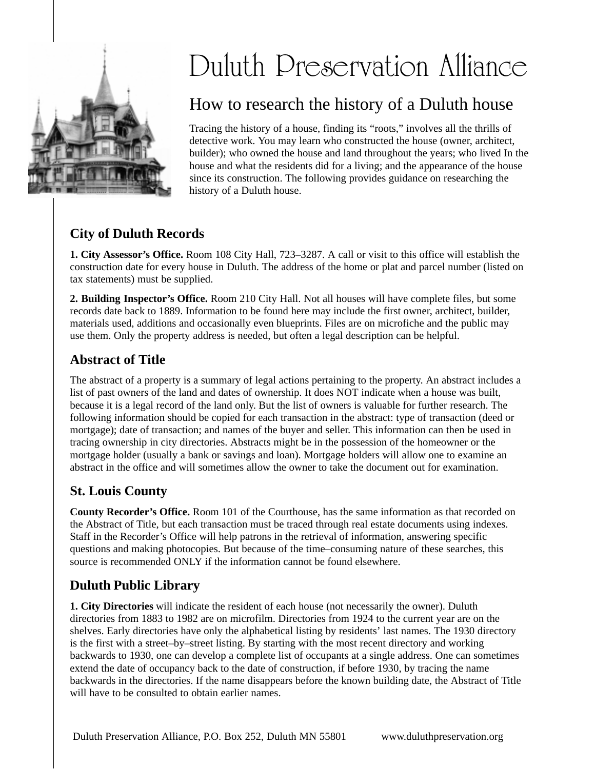

#### Duluth Preservation Alliance  $\overline{\mathfrak{l}}$  $\overline{\mathfrak{c}}$

# How to research the history of a Duluth house

Tracing the history of a house, finding its "roots," involves all the thrills of detective work. You may learn who constructed the house (owner, architect, builder); who owned the house and land throughout the years; who lived In the house and what the residents did for a living; and the appearance of the house since its construction. The following provides guidance on researching the history of a Duluth house.

# **City of Duluth Records**

**1. City Assessor's Office.** Room 108 City Hall, 723–3287. A call or visit to this office will establish the construction date for every house in Duluth. The address of the home or plat and parcel number (listed on tax statements) must be supplied.

**2. Building Inspector's Office.** Room 210 City Hall. Not all houses will have complete files, but some records date back to 1889. Information to be found here may include the first owner, architect, builder, materials used, additions and occasionally even blueprints. Files are on microfiche and the public may use them. Only the property address is needed, but often a legal description can be helpful.

## **Abstract of Title**

The abstract of a property is a summary of legal actions pertaining to the property. An abstract includes a list of past owners of the land and dates of ownership. It does NOT indicate when a house was built, because it is a legal record of the land only. But the list of owners is valuable for further research. The following information should be copied for each transaction in the abstract: type of transaction (deed or mortgage); date of transaction; and names of the buyer and seller. This information can then be used in tracing ownership in city directories. Abstracts might be in the possession of the homeowner or the mortgage holder (usually a bank or savings and loan). Mortgage holders will allow one to examine an abstract in the office and will sometimes allow the owner to take the document out for examination.

## **St. Louis County**

**County Recorder's Office.** Room 101 of the Courthouse, has the same information as that recorded on the Abstract of Title, but each transaction must be traced through real estate documents using indexes. Staff in the Recorder's Office will help patrons in the retrieval of information, answering specific questions and making photocopies. But because of the time–consuming nature of these searches, this source is recommended ONLY if the information cannot be found elsewhere.

### **Duluth Public Library**

**1. City Directories** will indicate the resident of each house (not necessarily the owner). Duluth directories from 1883 to 1982 are on microfilm. Directories from 1924 to the current year are on the shelves. Early directories have only the alphabetical listing by residents' last names. The 1930 directory is the first with a street–by–street listing. By starting with the most recent directory and working backwards to 1930, one can develop a complete list of occupants at a single address. One can sometimes extend the date of occupancy back to the date of construction, if before 1930, by tracing the name backwards in the directories. If the name disappears before the known building date, the Abstract of Title will have to be consulted to obtain earlier names.